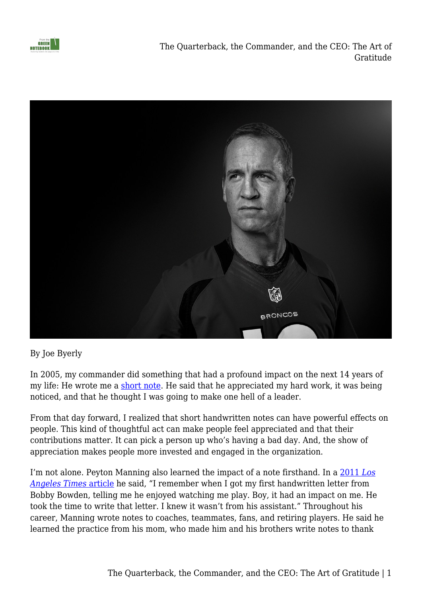

The Quarterback, the Commander, and the CEO: The Art of Gratitude



By Joe Byerly

In 2005, my commander did something that had a profound impact on the next 14 years of my life: He wrote me a [short note.](https://fromthegreennotebook.com/2013/08/22/the-power-of-a-note/) He said that he appreciated my hard work, it was being noticed, and that he thought I was going to make one hell of a leader.

From that day forward, I realized that short handwritten notes can have powerful effects on people. This kind of thoughtful act can make people feel appreciated and that their contributions matter. It can pick a person up who's having a bad day. And, the show of appreciation makes people more invested and engaged in the organization.

I'm not alone. Peyton Manning also learned the impact of a note firsthand. In a [2011](http://articles.latimes.com/2013/may/28/sports/la-sp-peyton-manning-letters-20130528) *[Los](http://articles.latimes.com/2013/may/28/sports/la-sp-peyton-manning-letters-20130528) [Angeles Times](http://articles.latimes.com/2013/may/28/sports/la-sp-peyton-manning-letters-20130528)* [article](http://articles.latimes.com/2013/may/28/sports/la-sp-peyton-manning-letters-20130528) he said, "I remember when I got my first handwritten letter from Bobby Bowden, telling me he enjoyed watching me play. Boy, it had an impact on me. He took the time to write that letter. I knew it wasn't from his assistant." Throughout his career, Manning wrote notes to coaches, teammates, fans, and retiring players. He said he learned the practice from his mom, who made him and his brothers write notes to thank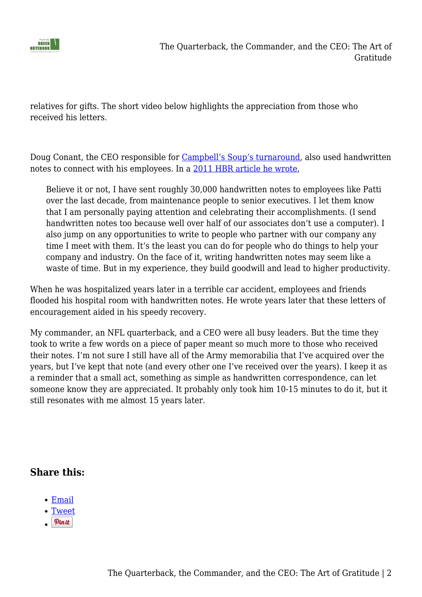

relatives for gifts. The short video below highlights the appreciation from those who received his letters.

Doug Conant, the CEO responsible for [Campbell's Soup's turnaround](https://hbr.org/2017/10/the-key-to-campbell-soups-turnaround-civility), also used handwritten notes to connect with his employees. In a [2011 HBR article he wrote,](https://hbr.org/2011/02/secrets-of-positive-feedback)

Believe it or not, I have sent roughly 30,000 handwritten notes to employees like Patti over the last decade, from maintenance people to senior executives. I let them know that I am personally paying attention and celebrating their accomplishments. (I send handwritten notes too because well over half of our associates don't use a computer). I also jump on any opportunities to write to people who partner with our company any time I meet with them. It's the least you can do for people who do things to help your company and industry. On the face of it, writing handwritten notes may seem like a waste of time. But in my experience, they build goodwill and lead to higher productivity.

When he was hospitalized years later in a terrible car accident, employees and friends flooded his hospital room with handwritten notes. He wrote years later that these letters of encouragement aided in his speedy recovery.

My commander, an NFL quarterback, and a CEO were all busy leaders. But the time they took to write a few words on a piece of paper meant so much more to those who received their notes. I'm not sure I still have all of the Army memorabilia that I've acquired over the years, but I've kept that note (and every other one I've received over the years). I keep it as a reminder that a small act, something as simple as handwritten correspondence, can let someone know they are appreciated. It probably only took him 10-15 minutes to do it, but it still resonates with me almost 15 years later.

## **Share this:**

- [Email](mailto:?subject=%5BShared%20Post%5D%20The%20Quarterback%2C%20the%20Commander%2C%20and%20the%20CEO%3A%20The%20Art%20of%20Gratitude&body=https%3A%2F%2Ffromthegreennotebook.com%2F2019%2F03%2F01%2Fthe-quarterback-the-commander-and-the-ceo-the-art-of-gratitude%2F&share=email)
- [Tweet](https://twitter.com/share)
- $Pln$ it